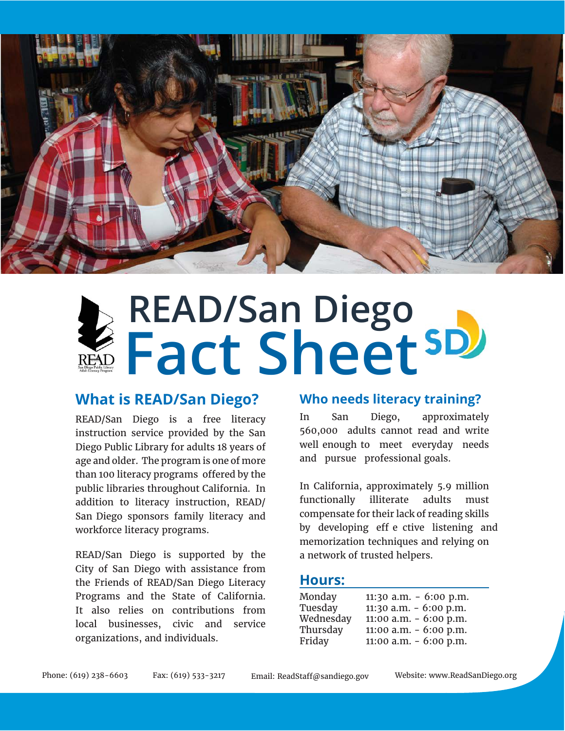

# **READ/San Diego Fact Sheet**

## **What is READ/San Diego?**

READ/San Diego is a free literacy instruction service provided by the San Diego Public Library for adults 18 years of age and older. The program is one of more than 100 literacy programs offered by the public libraries throughout California. In addition to literacy instruction, READ/ San Diego sponsors family literacy and workforce literacy programs.

READ/San Diego is supported by the City of San Diego with assistance from the Friends of READ/San Diego Literacy Programs and the State of California. It also relies on contributions from local businesses, civic and service organizations, and individuals.

### **Who needs literacy training?**

In San Diego, approximately 560,000 adults cannot read and write well enough to meet everyday needs and pursue professional goals.

In California, approximately 5.9 million functionally illiterate adults must compensate for their lack of reading skills by developing eff e ctive listening and memorization techniques and relying on a network of trusted helpers.

#### **Hours:**

| Monday    | 11:30 a.m. $-6:00$ p.m. |
|-----------|-------------------------|
| Tuesday   | 11:30 a.m. $-6:00$ p.m. |
| Wednesday | 11:00 a.m. $-6:00$ p.m. |
| Thursday  | 11:00 a.m. $-6:00$ p.m. |
| Friday    | 11:00 a.m. $-6:00$ p.m. |